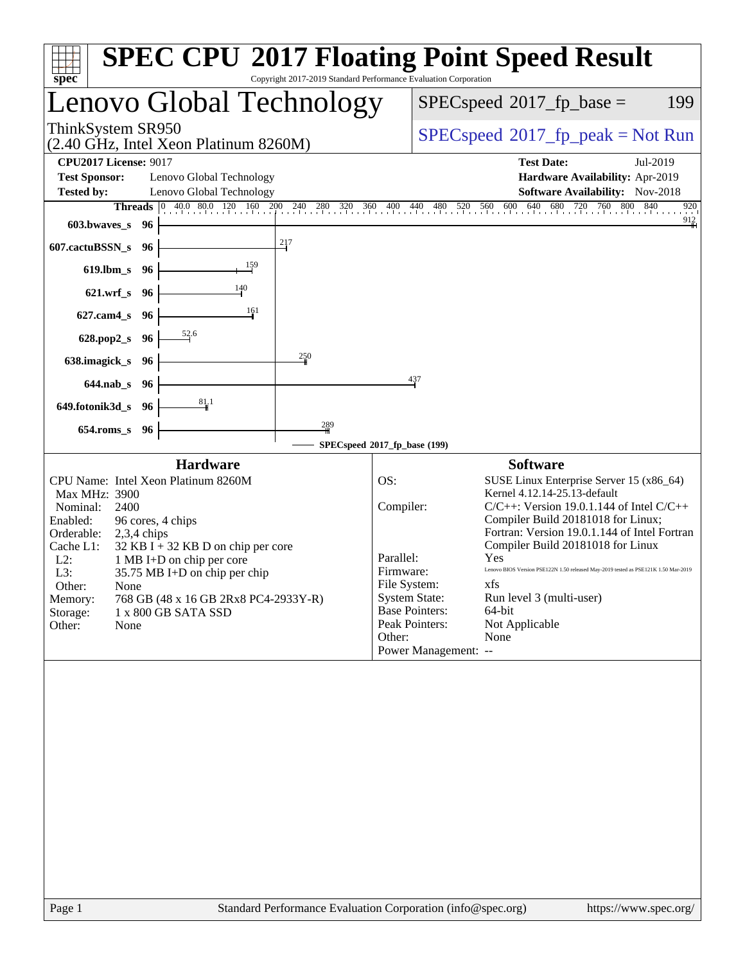| Lenovo Global Technology<br>$SPEC speed^{\circ}2017$ fp base =<br>199<br>ThinkSystem SR950<br>$SPEC speed^{\circ}2017\_fp\_peak = Not Run$<br>(2.40 GHz, Intel Xeon Platinum 8260M)<br><b>CPU2017 License: 9017</b><br><b>Test Date:</b><br>Jul-2019<br><b>Test Sponsor:</b><br>Lenovo Global Technology<br>Hardware Availability: Apr-2019<br><b>Software Availability:</b> Nov-2018<br><b>Tested by:</b><br>Lenovo Global Technology<br>$\begin{array}{ ccc } 0 & 40.0 & 80.0 & 120 & 160 \end{array}$<br>200 240<br>$^{280}$<br>640<br>680<br>$720$ $760$ $80$<br>800<br>840<br>$\frac{320}{1}$<br>360<br>400<br>$\frac{440}{1}$<br>560<br>560 600<br>920<br>Threads<br>480<br>520<br>912<br>603.bwaves_s<br>- 96<br>217<br>607.cactuBSSN_s<br>- 96                                                                                                                                                                                                                                                                                       |
|----------------------------------------------------------------------------------------------------------------------------------------------------------------------------------------------------------------------------------------------------------------------------------------------------------------------------------------------------------------------------------------------------------------------------------------------------------------------------------------------------------------------------------------------------------------------------------------------------------------------------------------------------------------------------------------------------------------------------------------------------------------------------------------------------------------------------------------------------------------------------------------------------------------------------------------------------------------------------------------------------------------------------------------------|
|                                                                                                                                                                                                                                                                                                                                                                                                                                                                                                                                                                                                                                                                                                                                                                                                                                                                                                                                                                                                                                              |
|                                                                                                                                                                                                                                                                                                                                                                                                                                                                                                                                                                                                                                                                                                                                                                                                                                                                                                                                                                                                                                              |
|                                                                                                                                                                                                                                                                                                                                                                                                                                                                                                                                                                                                                                                                                                                                                                                                                                                                                                                                                                                                                                              |
| $619$ .lbm_s<br>96<br>140<br>$621.wrf$ <sub>S</sub><br>96<br>161<br>$627$ .cam $4_s$<br>96<br>52.6<br>628.pop2_s<br>-96<br>250<br>638.imagick_s<br>-96<br>437<br>$644$ .nab s<br>96                                                                                                                                                                                                                                                                                                                                                                                                                                                                                                                                                                                                                                                                                                                                                                                                                                                          |
| $\frac{81}{4}$ 1<br>649.fotonik3d_s<br>96<br>$\frac{289}{256}$<br>$654$ .roms_s<br>96<br>SPECspeed®2017_fp_base (199)                                                                                                                                                                                                                                                                                                                                                                                                                                                                                                                                                                                                                                                                                                                                                                                                                                                                                                                        |
| <b>Hardware</b><br><b>Software</b><br>CPU Name: Intel Xeon Platinum 8260M<br>OS:<br>SUSE Linux Enterprise Server 15 (x86_64)<br>Kernel 4.12.14-25.13-default<br>Max MHz: 3900<br>Compiler:<br>$C/C++$ : Version 19.0.1.144 of Intel $C/C++$<br>Nominal:<br>2400<br>Compiler Build 20181018 for Linux;<br>Enabled:<br>96 cores, 4 chips<br>Fortran: Version 19.0.1.144 of Intel Fortran<br>Orderable:<br>$2,3,4$ chips<br>Compiler Build 20181018 for Linux<br>Cache L1:<br>$32$ KB I + 32 KB D on chip per core<br>Parallel:<br>Yes<br>$L2$ :<br>1 MB I+D on chip per core<br>Lenovo BIOS Version PSE122N 1.50 released May-2019 tested as PSE121K 1.50 Mar-2019<br>Firmware:<br>L3:<br>35.75 MB I+D on chip per chip<br>File System:<br>xfs.<br>Other:<br>None<br><b>System State:</b><br>Run level 3 (multi-user)<br>768 GB (48 x 16 GB 2Rx8 PC4-2933Y-R)<br>Memory:<br><b>Base Pointers:</b><br>64-bit<br>Storage:<br>1 x 800 GB SATA SSD<br>Not Applicable<br>Peak Pointers:<br>Other:<br>None<br>Other:<br>None<br>Power Management: -- |
| Standard Performance Evaluation Corporation (info@spec.org)                                                                                                                                                                                                                                                                                                                                                                                                                                                                                                                                                                                                                                                                                                                                                                                                                                                                                                                                                                                  |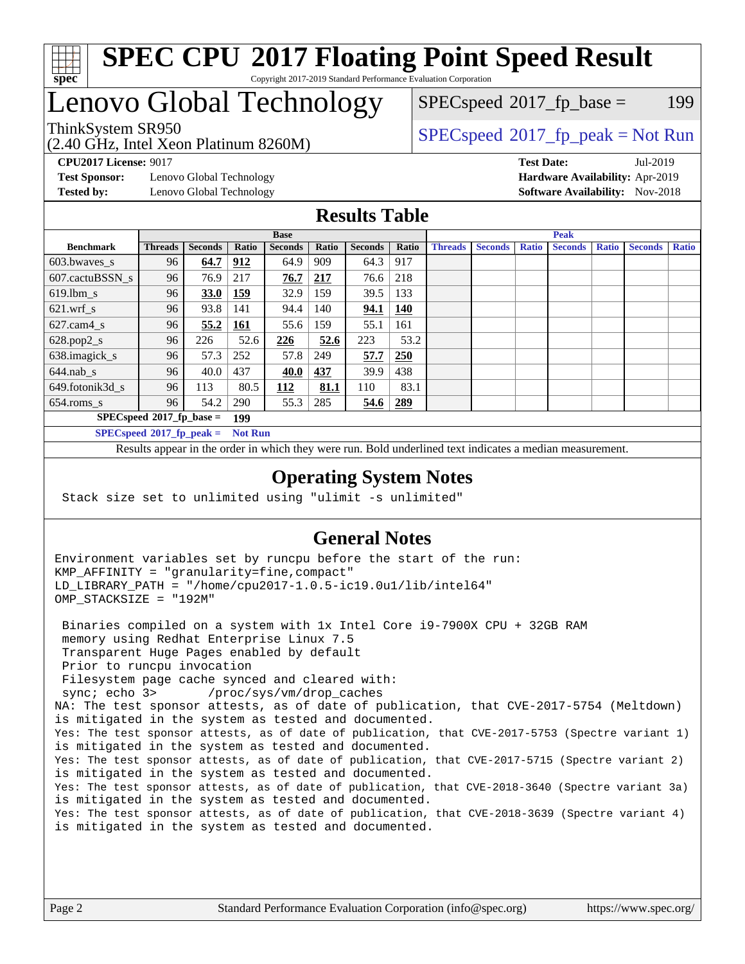

### **[SPEC CPU](http://www.spec.org/auto/cpu2017/Docs/result-fields.html#SPECCPU2017FloatingPointSpeedResult)[2017 Floating Point Speed Result](http://www.spec.org/auto/cpu2017/Docs/result-fields.html#SPECCPU2017FloatingPointSpeedResult)** Copyright 2017-2019 Standard Performance Evaluation Corporation

# Lenovo Global Technology

(2.40 GHz, Intel Xeon Platinum 8260M)

ThinkSystem SR950<br>  $SPECspeed*2017_fp\_peak = Not Run$  $SPECspeed*2017_fp\_peak = Not Run$ 

 $SPEC speed^{\circ}2017\_fp\_base = 199$ 

**[Test Sponsor:](http://www.spec.org/auto/cpu2017/Docs/result-fields.html#TestSponsor)** Lenovo Global Technology **[Hardware Availability:](http://www.spec.org/auto/cpu2017/Docs/result-fields.html#HardwareAvailability)** Apr-2019 **[Tested by:](http://www.spec.org/auto/cpu2017/Docs/result-fields.html#Testedby)** Lenovo Global Technology **[Software Availability:](http://www.spec.org/auto/cpu2017/Docs/result-fields.html#SoftwareAvailability)** Nov-2018

**[CPU2017 License:](http://www.spec.org/auto/cpu2017/Docs/result-fields.html#CPU2017License)** 9017 **[Test Date:](http://www.spec.org/auto/cpu2017/Docs/result-fields.html#TestDate)** Jul-2019

### **[Results Table](http://www.spec.org/auto/cpu2017/Docs/result-fields.html#ResultsTable)**

|                             | <b>Base</b>                                   |                |            |                | <b>Peak</b> |                |            |                |                |              |                |              |                |              |
|-----------------------------|-----------------------------------------------|----------------|------------|----------------|-------------|----------------|------------|----------------|----------------|--------------|----------------|--------------|----------------|--------------|
| <b>Benchmark</b>            | <b>Threads</b>                                | <b>Seconds</b> | Ratio      | <b>Seconds</b> | Ratio       | <b>Seconds</b> | Ratio      | <b>Threads</b> | <b>Seconds</b> | <b>Ratio</b> | <b>Seconds</b> | <b>Ratio</b> | <b>Seconds</b> | <b>Ratio</b> |
| 603.bwayes s                | 96                                            | 64.7           | 912        | 64.9           | 909         | 64.3           | 917        |                |                |              |                |              |                |              |
| 607.cactuBSSN s             | 96                                            | 76.9           | 217        | 76.7           | 217         | 76.6           | 218        |                |                |              |                |              |                |              |
| $619.$ lbm_s                | 96                                            | <b>33.0</b>    | 159        | 32.9           | 159         | 39.5           | 133        |                |                |              |                |              |                |              |
| $621.wrf$ s                 | 96                                            | 93.8           | 141        | 94.4           | 140         | 94.1           | <b>140</b> |                |                |              |                |              |                |              |
| $627$ .cam $4$ <sub>s</sub> | 96                                            | 55.2           | <u>161</u> | 55.6           | 159         | 55.1           | 161        |                |                |              |                |              |                |              |
| $628.pop2_s$                | 96                                            | 226            | 52.6       | 226            | 52.6        | 223            | 53.2       |                |                |              |                |              |                |              |
| 638.imagick_s               | 96                                            | 57.3           | 252        | 57.8           | 249         | 57.7           | <b>250</b> |                |                |              |                |              |                |              |
| $644$ .nab s                | 96                                            | 40.0           | 437        | 40.0           | 437         | 39.9           | 438        |                |                |              |                |              |                |              |
| 649.fotonik3d s             | 96                                            | 113            | 80.5       | 112            | 81.1        | 110            | 83.1       |                |                |              |                |              |                |              |
| $654$ .roms s               | 96                                            | 54.2           | 290        | 55.3           | 285         | 54.6           | 289        |                |                |              |                |              |                |              |
|                             | $SPECspeed*2017_fp\_base =$<br>199            |                |            |                |             |                |            |                |                |              |                |              |                |              |
|                             | $SPECspeed*2017_fp\_peak =$<br><b>Not Run</b> |                |            |                |             |                |            |                |                |              |                |              |                |              |

Results appear in the [order in which they were run.](http://www.spec.org/auto/cpu2017/Docs/result-fields.html#RunOrder) Bold underlined text [indicates a median measurement](http://www.spec.org/auto/cpu2017/Docs/result-fields.html#Median).

#### **[Operating System Notes](http://www.spec.org/auto/cpu2017/Docs/result-fields.html#OperatingSystemNotes)**

Stack size set to unlimited using "ulimit -s unlimited"

### **[General Notes](http://www.spec.org/auto/cpu2017/Docs/result-fields.html#GeneralNotes)**

Environment variables set by runcpu before the start of the run: KMP\_AFFINITY = "granularity=fine,compact" LD\_LIBRARY\_PATH = "/home/cpu2017-1.0.5-ic19.0u1/lib/intel64" OMP\_STACKSIZE = "192M"

 Binaries compiled on a system with 1x Intel Core i9-7900X CPU + 32GB RAM memory using Redhat Enterprise Linux 7.5 Transparent Huge Pages enabled by default Prior to runcpu invocation Filesystem page cache synced and cleared with: sync; echo 3> /proc/sys/vm/drop\_caches NA: The test sponsor attests, as of date of publication, that CVE-2017-5754 (Meltdown) is mitigated in the system as tested and documented. Yes: The test sponsor attests, as of date of publication, that CVE-2017-5753 (Spectre variant 1) is mitigated in the system as tested and documented. Yes: The test sponsor attests, as of date of publication, that CVE-2017-5715 (Spectre variant 2) is mitigated in the system as tested and documented. Yes: The test sponsor attests, as of date of publication, that CVE-2018-3640 (Spectre variant 3a) is mitigated in the system as tested and documented. Yes: The test sponsor attests, as of date of publication, that CVE-2018-3639 (Spectre variant 4) is mitigated in the system as tested and documented.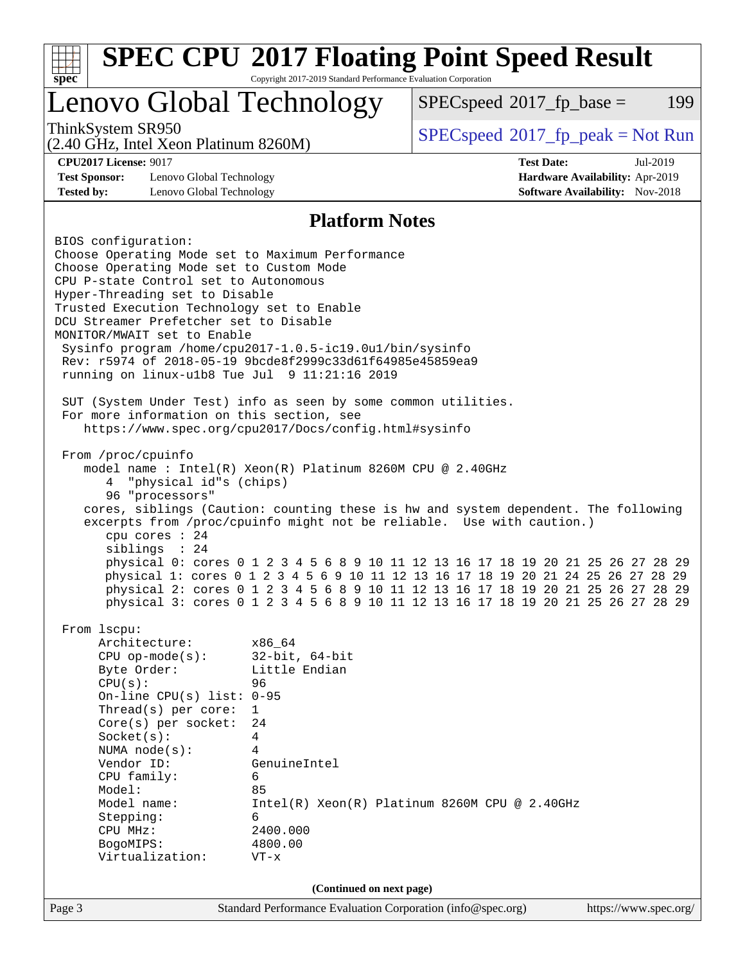| <b>SPEC CPU®2017 Floating Point Speed Result</b><br>Copyright 2017-2019 Standard Performance Evaluation Corporation<br>$spec^*$ |                                                             |                                                                                                                                                             |                                                                           |  |  |  |  |
|---------------------------------------------------------------------------------------------------------------------------------|-------------------------------------------------------------|-------------------------------------------------------------------------------------------------------------------------------------------------------------|---------------------------------------------------------------------------|--|--|--|--|
| Lenovo Global Technology                                                                                                        |                                                             | $SPEC speed^{\circ}2017$ _fp_base =                                                                                                                         | 199                                                                       |  |  |  |  |
| ThinkSystem SR950<br>(2.40 GHz, Intel Xeon Platinum 8260M)                                                                      |                                                             | $SPEC speed^{\circ}2017\_fp\_peak = Not Run$                                                                                                                |                                                                           |  |  |  |  |
| <b>CPU2017 License: 9017</b>                                                                                                    |                                                             | <b>Test Date:</b>                                                                                                                                           | Jul-2019                                                                  |  |  |  |  |
| <b>Test Sponsor:</b><br>Lenovo Global Technology                                                                                |                                                             |                                                                                                                                                             | Hardware Availability: Apr-2019<br><b>Software Availability:</b> Nov-2018 |  |  |  |  |
| Lenovo Global Technology<br><b>Tested by:</b>                                                                                   |                                                             |                                                                                                                                                             |                                                                           |  |  |  |  |
|                                                                                                                                 | <b>Platform Notes</b>                                       |                                                                                                                                                             |                                                                           |  |  |  |  |
| BIOS configuration:                                                                                                             |                                                             |                                                                                                                                                             |                                                                           |  |  |  |  |
| Choose Operating Mode set to Maximum Performance                                                                                |                                                             |                                                                                                                                                             |                                                                           |  |  |  |  |
| Choose Operating Mode set to Custom Mode                                                                                        |                                                             |                                                                                                                                                             |                                                                           |  |  |  |  |
| CPU P-state Control set to Autonomous                                                                                           |                                                             |                                                                                                                                                             |                                                                           |  |  |  |  |
| Hyper-Threading set to Disable                                                                                                  |                                                             |                                                                                                                                                             |                                                                           |  |  |  |  |
| Trusted Execution Technology set to Enable<br>DCU Streamer Prefetcher set to Disable                                            |                                                             |                                                                                                                                                             |                                                                           |  |  |  |  |
| MONITOR/MWAIT set to Enable                                                                                                     |                                                             |                                                                                                                                                             |                                                                           |  |  |  |  |
| Sysinfo program /home/cpu2017-1.0.5-ic19.0ul/bin/sysinfo                                                                        |                                                             |                                                                                                                                                             |                                                                           |  |  |  |  |
| Rev: r5974 of 2018-05-19 9bcde8f2999c33d61f64985e45859ea9                                                                       |                                                             |                                                                                                                                                             |                                                                           |  |  |  |  |
| running on $linux-ulb8$ Tue Jul $9$ 11:21:16 2019                                                                               |                                                             |                                                                                                                                                             |                                                                           |  |  |  |  |
|                                                                                                                                 |                                                             |                                                                                                                                                             |                                                                           |  |  |  |  |
| SUT (System Under Test) info as seen by some common utilities.                                                                  |                                                             |                                                                                                                                                             |                                                                           |  |  |  |  |
| For more information on this section, see                                                                                       |                                                             |                                                                                                                                                             |                                                                           |  |  |  |  |
| https://www.spec.org/cpu2017/Docs/config.html#sysinfo                                                                           |                                                             |                                                                                                                                                             |                                                                           |  |  |  |  |
|                                                                                                                                 |                                                             |                                                                                                                                                             |                                                                           |  |  |  |  |
| From /proc/cpuinfo                                                                                                              |                                                             |                                                                                                                                                             |                                                                           |  |  |  |  |
| model name: $Intel(R)$ Xeon $(R)$ Platinum 8260M CPU @ 2.40GHz                                                                  |                                                             |                                                                                                                                                             |                                                                           |  |  |  |  |
| "physical id"s (chips)<br>4                                                                                                     |                                                             |                                                                                                                                                             |                                                                           |  |  |  |  |
| 96 "processors"                                                                                                                 |                                                             |                                                                                                                                                             |                                                                           |  |  |  |  |
|                                                                                                                                 |                                                             | cores, siblings (Caution: counting these is hw and system dependent. The following<br>excerpts from /proc/cpuinfo might not be reliable. Use with caution.) |                                                                           |  |  |  |  |
| cpu cores : 24                                                                                                                  |                                                             |                                                                                                                                                             |                                                                           |  |  |  |  |
| siblings : 24                                                                                                                   |                                                             |                                                                                                                                                             |                                                                           |  |  |  |  |
|                                                                                                                                 |                                                             | physical 0: cores 0 1 2 3 4 5 6 8 9 10 11 12 13 16 17 18 19 20 21 25 26 27 28 29                                                                            |                                                                           |  |  |  |  |
|                                                                                                                                 |                                                             | physical 1: cores 0 1 2 3 4 5 6 9 10 11 12 13 16 17 18 19 20 21 24 25 26 27 28 29                                                                           |                                                                           |  |  |  |  |
|                                                                                                                                 |                                                             | physical 2: cores 0 1 2 3 4 5 6 8 9 10 11 12 13 16 17 18 19 20 21 25 26 27 28 29                                                                            |                                                                           |  |  |  |  |
|                                                                                                                                 |                                                             | physical 3: cores 0 1 2 3 4 5 6 8 9 10 11 12 13 16 17 18 19 20 21 25 26 27 28 29                                                                            |                                                                           |  |  |  |  |
|                                                                                                                                 |                                                             |                                                                                                                                                             |                                                                           |  |  |  |  |
| From 1scpu:<br>Architecture:                                                                                                    | x86 64                                                      |                                                                                                                                                             |                                                                           |  |  |  |  |
| $CPU$ op-mode( $s$ ):                                                                                                           | $32$ -bit, $64$ -bit                                        |                                                                                                                                                             |                                                                           |  |  |  |  |
| Byte Order:                                                                                                                     | Little Endian                                               |                                                                                                                                                             |                                                                           |  |  |  |  |
| CPU(s):                                                                                                                         | 96                                                          |                                                                                                                                                             |                                                                           |  |  |  |  |
| On-line CPU(s) list: $0-95$                                                                                                     |                                                             |                                                                                                                                                             |                                                                           |  |  |  |  |
| Thread(s) per core:                                                                                                             | $\mathbf{1}$                                                |                                                                                                                                                             |                                                                           |  |  |  |  |
| Core(s) per socket:                                                                                                             | 24                                                          |                                                                                                                                                             |                                                                           |  |  |  |  |
| Socket(s):                                                                                                                      | 4                                                           |                                                                                                                                                             |                                                                           |  |  |  |  |
| NUMA node(s):                                                                                                                   | 4                                                           |                                                                                                                                                             |                                                                           |  |  |  |  |
| Vendor ID:                                                                                                                      | GenuineIntel                                                |                                                                                                                                                             |                                                                           |  |  |  |  |
| CPU family:<br>6                                                                                                                |                                                             |                                                                                                                                                             |                                                                           |  |  |  |  |
| Model:                                                                                                                          | 85                                                          |                                                                                                                                                             |                                                                           |  |  |  |  |
| Model name:                                                                                                                     |                                                             | $Intel(R) Xeon(R) Platinum 8260M CPU @ 2.40GHz$                                                                                                             |                                                                           |  |  |  |  |
| Stepping:                                                                                                                       | 6<br>2400.000                                               |                                                                                                                                                             |                                                                           |  |  |  |  |
| CPU MHz:<br>BogoMIPS:                                                                                                           | 4800.00                                                     |                                                                                                                                                             |                                                                           |  |  |  |  |
| Virtualization:                                                                                                                 | $VT - x$                                                    |                                                                                                                                                             |                                                                           |  |  |  |  |
|                                                                                                                                 |                                                             |                                                                                                                                                             |                                                                           |  |  |  |  |
|                                                                                                                                 | (Continued on next page)                                    |                                                                                                                                                             |                                                                           |  |  |  |  |
| Page 3                                                                                                                          | Standard Performance Evaluation Corporation (info@spec.org) |                                                                                                                                                             | https://www.spec.org/                                                     |  |  |  |  |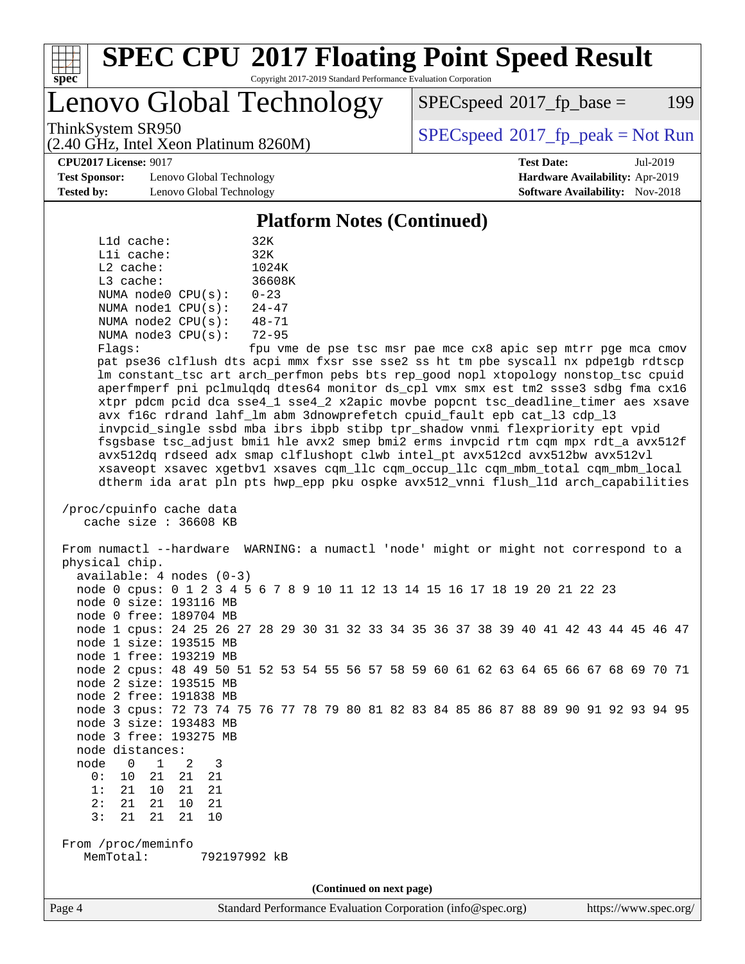

### **[SPEC CPU](http://www.spec.org/auto/cpu2017/Docs/result-fields.html#SPECCPU2017FloatingPointSpeedResult)[2017 Floating Point Speed Result](http://www.spec.org/auto/cpu2017/Docs/result-fields.html#SPECCPU2017FloatingPointSpeedResult)** Copyright 2017-2019 Standard Performance Evaluation Corporation

# Lenovo Global Technology

(2.40 GHz, Intel Xeon Platinum 8260M)

 $SPEC speed^{\circ}2017\_fp\_base = 199$ 

ThinkSystem SR950<br>  $SPECspeed^{\circ}2017<sub>fp</sub> peak = Not Run$  $SPECspeed^{\circ}2017<sub>fp</sub> peak = Not Run$ 

**[Test Sponsor:](http://www.spec.org/auto/cpu2017/Docs/result-fields.html#TestSponsor)** Lenovo Global Technology **[Hardware Availability:](http://www.spec.org/auto/cpu2017/Docs/result-fields.html#HardwareAvailability)** Apr-2019 **[Tested by:](http://www.spec.org/auto/cpu2017/Docs/result-fields.html#Testedby)** Lenovo Global Technology **[Software Availability:](http://www.spec.org/auto/cpu2017/Docs/result-fields.html#SoftwareAvailability)** Nov-2018

**[CPU2017 License:](http://www.spec.org/auto/cpu2017/Docs/result-fields.html#CPU2017License)** 9017 **[Test Date:](http://www.spec.org/auto/cpu2017/Docs/result-fields.html#TestDate)** Jul-2019

#### **[Platform Notes \(Continued\)](http://www.spec.org/auto/cpu2017/Docs/result-fields.html#PlatformNotes)**

| L1d cache:  |                         | 32K       |
|-------------|-------------------------|-----------|
| Lli cache:  |                         | 32K       |
| $L2$ cache: |                         | 1024K     |
| $L3$ cache: |                         | 36608K    |
|             | NUMA node0 CPU(s):      | $0 - 23$  |
|             | NUMA nodel CPU(s):      | $24 - 47$ |
|             | NUMA $node2$ $CPU(s)$ : | $48 - 71$ |
|             | NUMA $node3$ $CPU(s)$ : | $72 - 95$ |
|             |                         |           |

Flags: fpu vme de pse tsc msr pae mce cx8 apic sep mtrr pge mca cmov pat pse36 clflush dts acpi mmx fxsr sse sse2 ss ht tm pbe syscall nx pdpe1gb rdtscp lm constant\_tsc art arch\_perfmon pebs bts rep\_good nopl xtopology nonstop\_tsc cpuid aperfmperf pni pclmulqdq dtes64 monitor ds\_cpl vmx smx est tm2 ssse3 sdbg fma cx16 xtpr pdcm pcid dca sse4\_1 sse4\_2 x2apic movbe popcnt tsc\_deadline\_timer aes xsave avx f16c rdrand lahf\_lm abm 3dnowprefetch cpuid\_fault epb cat\_l3 cdp\_l3 invpcid\_single ssbd mba ibrs ibpb stibp tpr\_shadow vnmi flexpriority ept vpid fsgsbase tsc\_adjust bmi1 hle avx2 smep bmi2 erms invpcid rtm cqm mpx rdt\_a avx512f avx512dq rdseed adx smap clflushopt clwb intel\_pt avx512cd avx512bw avx512vl xsaveopt xsavec xgetbv1 xsaves cqm\_llc cqm\_occup\_llc cqm\_mbm\_total cqm\_mbm\_local dtherm ida arat pln pts hwp\_epp pku ospke avx512\_vnni flush\_l1d arch\_capabilities

```
 /proc/cpuinfo cache data
cache size : 36608 KB
```
 From numactl --hardware WARNING: a numactl 'node' might or might not correspond to a physical chip. available: 4 nodes (0-3) node 0 cpus: 0 1 2 3 4 5 6 7 8 9 10 11 12 13 14 15 16 17 18 19 20 21 22 23 node 0 size: 193116 MB node 0 free: 189704 MB node 1 cpus: 24 25 26 27 28 29 30 31 32 33 34 35 36 37 38 39 40 41 42 43 44 45 46 47 node 1 size: 193515 MB node 1 free: 193219 MB node 2 cpus: 48 49 50 51 52 53 54 55 56 57 58 59 60 61 62 63 64 65 66 67 68 69 70 71 node 2 size: 193515 MB node 2 free: 191838 MB node 3 cpus: 72 73 74 75 76 77 78 79 80 81 82 83 84 85 86 87 88 89 90 91 92 93 94 95 node 3 size: 193483 MB node 3 free: 193275 MB node distances: node 0 1 2 3 0: 10 21 21 21 1: 21 10 21 21 2: 21 21 10 21 3: 21 21 21 10 From /proc/meminfo MemTotal: 792197992 kB **(Continued on next page)**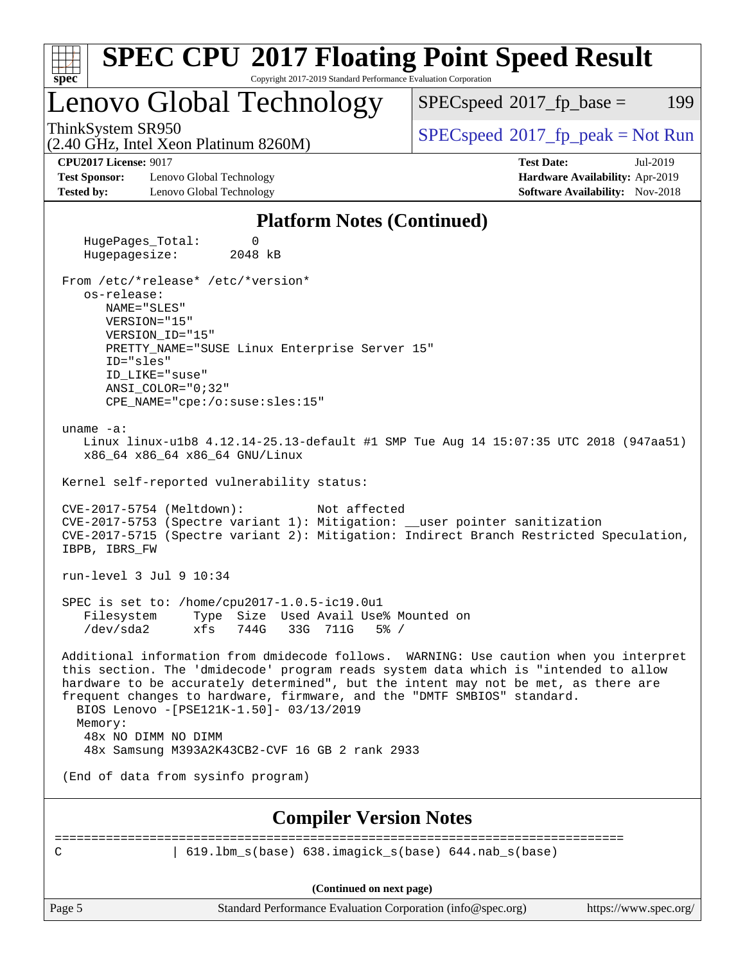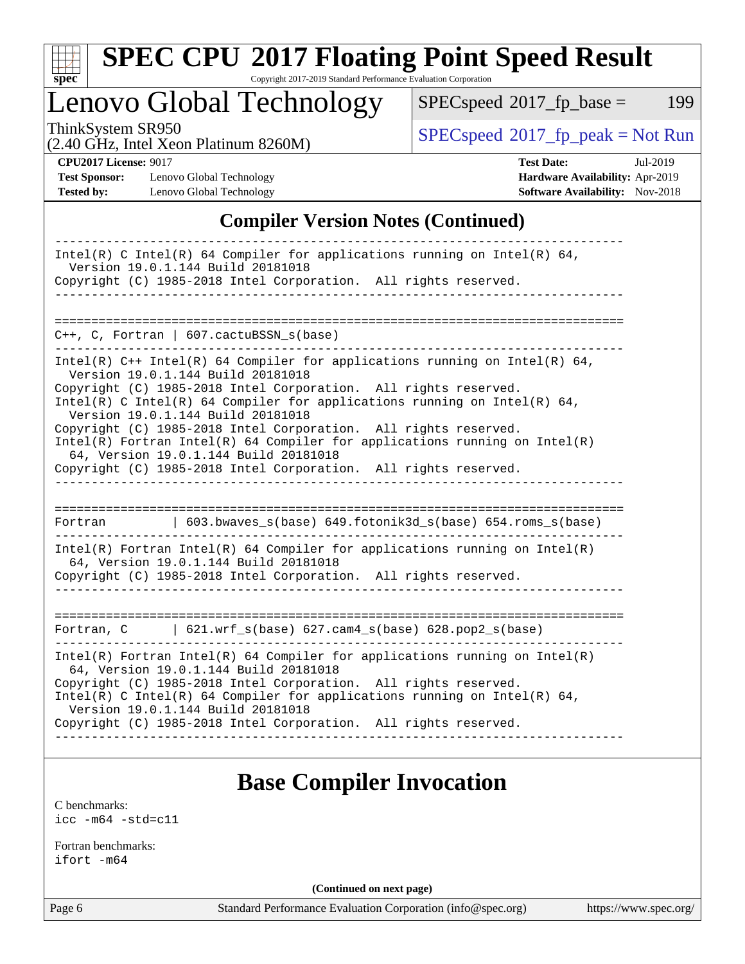

# **[SPEC CPU](http://www.spec.org/auto/cpu2017/Docs/result-fields.html#SPECCPU2017FloatingPointSpeedResult)[2017 Floating Point Speed Result](http://www.spec.org/auto/cpu2017/Docs/result-fields.html#SPECCPU2017FloatingPointSpeedResult)**

Copyright 2017-2019 Standard Performance Evaluation Corporation

# Lenovo Global Technology

 $SPECspeed^{\circ}2017_fp\_base = 199$  $SPECspeed^{\circ}2017_fp\_base = 199$ 

(2.40 GHz, Intel Xeon Platinum 8260M)

 $SPECspeed^{\circ}2017_fp\_peak = Not Run$  $SPECspeed^{\circ}2017_fp\_peak = Not Run$ 

**[Test Sponsor:](http://www.spec.org/auto/cpu2017/Docs/result-fields.html#TestSponsor)** Lenovo Global Technology **[Hardware Availability:](http://www.spec.org/auto/cpu2017/Docs/result-fields.html#HardwareAvailability)** Apr-2019 **[Tested by:](http://www.spec.org/auto/cpu2017/Docs/result-fields.html#Testedby)** Lenovo Global Technology **[Software Availability:](http://www.spec.org/auto/cpu2017/Docs/result-fields.html#SoftwareAvailability)** Nov-2018

**[CPU2017 License:](http://www.spec.org/auto/cpu2017/Docs/result-fields.html#CPU2017License)** 9017 **[Test Date:](http://www.spec.org/auto/cpu2017/Docs/result-fields.html#TestDate)** Jul-2019

### **[Compiler Version Notes \(Continued\)](http://www.spec.org/auto/cpu2017/Docs/result-fields.html#CompilerVersionNotes)**

| Intel(R) C Intel(R) 64 Compiler for applications running on Intel(R) 64,<br>Version 19.0.1.144 Build 20181018<br>Copyright (C) 1985-2018 Intel Corporation. All rights reserved.                                                                                                                    |
|-----------------------------------------------------------------------------------------------------------------------------------------------------------------------------------------------------------------------------------------------------------------------------------------------------|
|                                                                                                                                                                                                                                                                                                     |
|                                                                                                                                                                                                                                                                                                     |
| C++, C, Fortran   607.cactuBSSN_s(base)                                                                                                                                                                                                                                                             |
| Intel(R) C++ Intel(R) 64 Compiler for applications running on Intel(R) 64,<br>Version 19.0.1.144 Build 20181018<br>Copyright (C) 1985-2018 Intel Corporation. All rights reserved.<br>Intel(R) C Intel(R) 64 Compiler for applications running on Intel(R) 64,<br>Version 19.0.1.144 Build 20181018 |
| Copyright (C) 1985-2018 Intel Corporation. All rights reserved.                                                                                                                                                                                                                                     |
| $Intel(R)$ Fortran Intel(R) 64 Compiler for applications running on Intel(R)<br>64, Version 19.0.1.144 Build 20181018                                                                                                                                                                               |
| Copyright (C) 1985-2018 Intel Corporation. All rights reserved.                                                                                                                                                                                                                                     |
|                                                                                                                                                                                                                                                                                                     |
|                                                                                                                                                                                                                                                                                                     |
| 603.bwaves_s(base) 649.fotonik3d_s(base) 654.roms_s(base)<br>Fortran                                                                                                                                                                                                                                |
| Intel(R) Fortran Intel(R) 64 Compiler for applications running on Intel(R)<br>64, Version 19.0.1.144 Build 20181018                                                                                                                                                                                 |
| Copyright (C) 1985-2018 Intel Corporation. All rights reserved.                                                                                                                                                                                                                                     |
|                                                                                                                                                                                                                                                                                                     |
|                                                                                                                                                                                                                                                                                                     |
| Fortran, C $\vert$ 621.wrf_s(base) 627.cam4_s(base) 628.pop2_s(base)                                                                                                                                                                                                                                |
| Intel(R) Fortran Intel(R) 64 Compiler for applications running on Intel(R)<br>64, Version 19.0.1.144 Build 20181018                                                                                                                                                                                 |
| Copyright (C) 1985-2018 Intel Corporation. All rights reserved.<br>Intel(R) C Intel(R) 64 Compiler for applications running on Intel(R) 64,                                                                                                                                                         |
| Version 19.0.1.144 Build 20181018<br>Copyright (C) 1985-2018 Intel Corporation. All rights reserved.                                                                                                                                                                                                |
|                                                                                                                                                                                                                                                                                                     |

## **[Base Compiler Invocation](http://www.spec.org/auto/cpu2017/Docs/result-fields.html#BaseCompilerInvocation)**

[C benchmarks](http://www.spec.org/auto/cpu2017/Docs/result-fields.html#Cbenchmarks): [icc -m64 -std=c11](http://www.spec.org/cpu2017/results/res2019q3/cpu2017-20190722-16227.flags.html#user_CCbase_intel_icc_64bit_c11_33ee0cdaae7deeeab2a9725423ba97205ce30f63b9926c2519791662299b76a0318f32ddfffdc46587804de3178b4f9328c46fa7c2b0cd779d7a61945c91cd35)

[Fortran benchmarks](http://www.spec.org/auto/cpu2017/Docs/result-fields.html#Fortranbenchmarks): [ifort -m64](http://www.spec.org/cpu2017/results/res2019q3/cpu2017-20190722-16227.flags.html#user_FCbase_intel_ifort_64bit_24f2bb282fbaeffd6157abe4f878425411749daecae9a33200eee2bee2fe76f3b89351d69a8130dd5949958ce389cf37ff59a95e7a40d588e8d3a57e0c3fd751)

**(Continued on next page)**

Page 6 Standard Performance Evaluation Corporation [\(info@spec.org\)](mailto:info@spec.org) <https://www.spec.org/>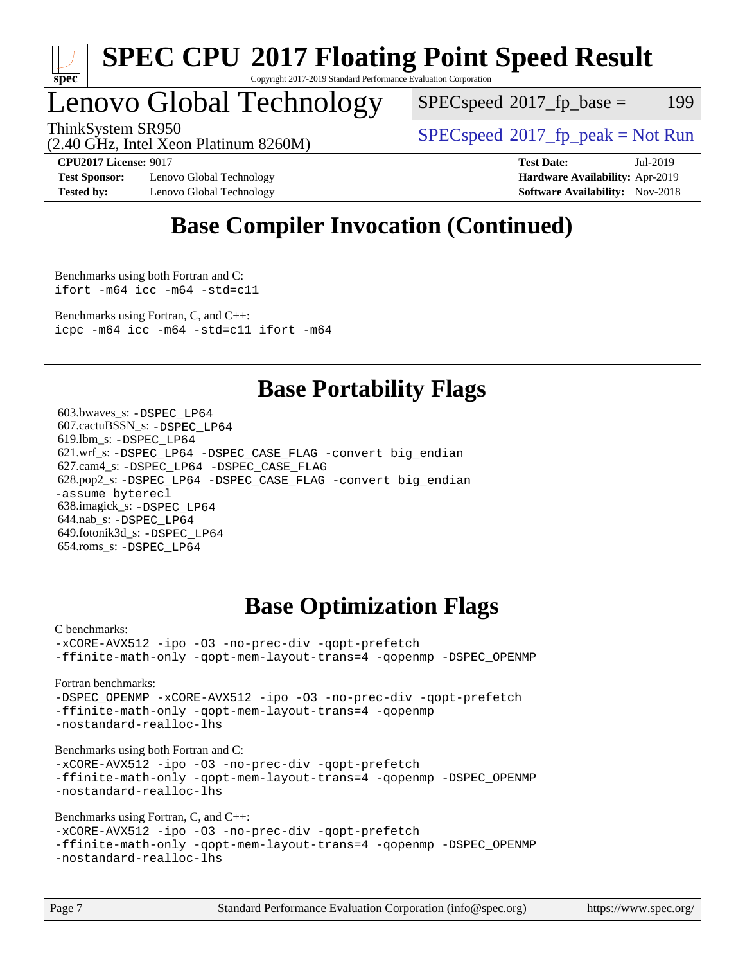

#### **[SPEC CPU](http://www.spec.org/auto/cpu2017/Docs/result-fields.html#SPECCPU2017FloatingPointSpeedResult)[2017 Floating Point Speed Result](http://www.spec.org/auto/cpu2017/Docs/result-fields.html#SPECCPU2017FloatingPointSpeedResult)** Copyright 2017-2019 Standard Performance Evaluation Corporation

# Lenovo Global Technology

 $SPEC speed^{\circ}2017\_fp\_base = 199$ 

ThinkSystem SR950<br>  $SPECspeed^{\circ}2017<sub>fp</sub> peak = Not Run$  $SPECspeed^{\circ}2017<sub>fp</sub> peak = Not Run$ 

(2.40 GHz, Intel Xeon Platinum 8260M)

**[Test Sponsor:](http://www.spec.org/auto/cpu2017/Docs/result-fields.html#TestSponsor)** Lenovo Global Technology **[Hardware Availability:](http://www.spec.org/auto/cpu2017/Docs/result-fields.html#HardwareAvailability)** Apr-2019 **[Tested by:](http://www.spec.org/auto/cpu2017/Docs/result-fields.html#Testedby)** Lenovo Global Technology **[Software Availability:](http://www.spec.org/auto/cpu2017/Docs/result-fields.html#SoftwareAvailability)** Nov-2018

**[CPU2017 License:](http://www.spec.org/auto/cpu2017/Docs/result-fields.html#CPU2017License)** 9017 **[Test Date:](http://www.spec.org/auto/cpu2017/Docs/result-fields.html#TestDate)** Jul-2019

# **[Base Compiler Invocation \(Continued\)](http://www.spec.org/auto/cpu2017/Docs/result-fields.html#BaseCompilerInvocation)**

[Benchmarks using both Fortran and C](http://www.spec.org/auto/cpu2017/Docs/result-fields.html#BenchmarksusingbothFortranandC): [ifort -m64](http://www.spec.org/cpu2017/results/res2019q3/cpu2017-20190722-16227.flags.html#user_CC_FCbase_intel_ifort_64bit_24f2bb282fbaeffd6157abe4f878425411749daecae9a33200eee2bee2fe76f3b89351d69a8130dd5949958ce389cf37ff59a95e7a40d588e8d3a57e0c3fd751) [icc -m64 -std=c11](http://www.spec.org/cpu2017/results/res2019q3/cpu2017-20190722-16227.flags.html#user_CC_FCbase_intel_icc_64bit_c11_33ee0cdaae7deeeab2a9725423ba97205ce30f63b9926c2519791662299b76a0318f32ddfffdc46587804de3178b4f9328c46fa7c2b0cd779d7a61945c91cd35)

[Benchmarks using Fortran, C, and C++:](http://www.spec.org/auto/cpu2017/Docs/result-fields.html#BenchmarksusingFortranCandCXX) [icpc -m64](http://www.spec.org/cpu2017/results/res2019q3/cpu2017-20190722-16227.flags.html#user_CC_CXX_FCbase_intel_icpc_64bit_4ecb2543ae3f1412ef961e0650ca070fec7b7afdcd6ed48761b84423119d1bf6bdf5cad15b44d48e7256388bc77273b966e5eb805aefd121eb22e9299b2ec9d9) [icc -m64 -std=c11](http://www.spec.org/cpu2017/results/res2019q3/cpu2017-20190722-16227.flags.html#user_CC_CXX_FCbase_intel_icc_64bit_c11_33ee0cdaae7deeeab2a9725423ba97205ce30f63b9926c2519791662299b76a0318f32ddfffdc46587804de3178b4f9328c46fa7c2b0cd779d7a61945c91cd35) [ifort -m64](http://www.spec.org/cpu2017/results/res2019q3/cpu2017-20190722-16227.flags.html#user_CC_CXX_FCbase_intel_ifort_64bit_24f2bb282fbaeffd6157abe4f878425411749daecae9a33200eee2bee2fe76f3b89351d69a8130dd5949958ce389cf37ff59a95e7a40d588e8d3a57e0c3fd751)

### **[Base Portability Flags](http://www.spec.org/auto/cpu2017/Docs/result-fields.html#BasePortabilityFlags)**

 603.bwaves\_s: [-DSPEC\\_LP64](http://www.spec.org/cpu2017/results/res2019q3/cpu2017-20190722-16227.flags.html#suite_basePORTABILITY603_bwaves_s_DSPEC_LP64) 607.cactuBSSN\_s: [-DSPEC\\_LP64](http://www.spec.org/cpu2017/results/res2019q3/cpu2017-20190722-16227.flags.html#suite_basePORTABILITY607_cactuBSSN_s_DSPEC_LP64) 619.lbm\_s: [-DSPEC\\_LP64](http://www.spec.org/cpu2017/results/res2019q3/cpu2017-20190722-16227.flags.html#suite_basePORTABILITY619_lbm_s_DSPEC_LP64) 621.wrf\_s: [-DSPEC\\_LP64](http://www.spec.org/cpu2017/results/res2019q3/cpu2017-20190722-16227.flags.html#suite_basePORTABILITY621_wrf_s_DSPEC_LP64) [-DSPEC\\_CASE\\_FLAG](http://www.spec.org/cpu2017/results/res2019q3/cpu2017-20190722-16227.flags.html#b621.wrf_s_baseCPORTABILITY_DSPEC_CASE_FLAG) [-convert big\\_endian](http://www.spec.org/cpu2017/results/res2019q3/cpu2017-20190722-16227.flags.html#user_baseFPORTABILITY621_wrf_s_convert_big_endian_c3194028bc08c63ac5d04de18c48ce6d347e4e562e8892b8bdbdc0214820426deb8554edfa529a3fb25a586e65a3d812c835984020483e7e73212c4d31a38223) 627.cam4\_s: [-DSPEC\\_LP64](http://www.spec.org/cpu2017/results/res2019q3/cpu2017-20190722-16227.flags.html#suite_basePORTABILITY627_cam4_s_DSPEC_LP64) [-DSPEC\\_CASE\\_FLAG](http://www.spec.org/cpu2017/results/res2019q3/cpu2017-20190722-16227.flags.html#b627.cam4_s_baseCPORTABILITY_DSPEC_CASE_FLAG) 628.pop2\_s: [-DSPEC\\_LP64](http://www.spec.org/cpu2017/results/res2019q3/cpu2017-20190722-16227.flags.html#suite_basePORTABILITY628_pop2_s_DSPEC_LP64) [-DSPEC\\_CASE\\_FLAG](http://www.spec.org/cpu2017/results/res2019q3/cpu2017-20190722-16227.flags.html#b628.pop2_s_baseCPORTABILITY_DSPEC_CASE_FLAG) [-convert big\\_endian](http://www.spec.org/cpu2017/results/res2019q3/cpu2017-20190722-16227.flags.html#user_baseFPORTABILITY628_pop2_s_convert_big_endian_c3194028bc08c63ac5d04de18c48ce6d347e4e562e8892b8bdbdc0214820426deb8554edfa529a3fb25a586e65a3d812c835984020483e7e73212c4d31a38223) [-assume byterecl](http://www.spec.org/cpu2017/results/res2019q3/cpu2017-20190722-16227.flags.html#user_baseFPORTABILITY628_pop2_s_assume_byterecl_7e47d18b9513cf18525430bbf0f2177aa9bf368bc7a059c09b2c06a34b53bd3447c950d3f8d6c70e3faf3a05c8557d66a5798b567902e8849adc142926523472) 638.imagick\_s: [-DSPEC\\_LP64](http://www.spec.org/cpu2017/results/res2019q3/cpu2017-20190722-16227.flags.html#suite_basePORTABILITY638_imagick_s_DSPEC_LP64) 644.nab\_s: [-DSPEC\\_LP64](http://www.spec.org/cpu2017/results/res2019q3/cpu2017-20190722-16227.flags.html#suite_basePORTABILITY644_nab_s_DSPEC_LP64) 649.fotonik3d\_s: [-DSPEC\\_LP64](http://www.spec.org/cpu2017/results/res2019q3/cpu2017-20190722-16227.flags.html#suite_basePORTABILITY649_fotonik3d_s_DSPEC_LP64) 654.roms\_s: [-DSPEC\\_LP64](http://www.spec.org/cpu2017/results/res2019q3/cpu2017-20190722-16227.flags.html#suite_basePORTABILITY654_roms_s_DSPEC_LP64)

## **[Base Optimization Flags](http://www.spec.org/auto/cpu2017/Docs/result-fields.html#BaseOptimizationFlags)**

[C benchmarks](http://www.spec.org/auto/cpu2017/Docs/result-fields.html#Cbenchmarks):

[-xCORE-AVX512](http://www.spec.org/cpu2017/results/res2019q3/cpu2017-20190722-16227.flags.html#user_CCbase_f-xCORE-AVX512) [-ipo](http://www.spec.org/cpu2017/results/res2019q3/cpu2017-20190722-16227.flags.html#user_CCbase_f-ipo) [-O3](http://www.spec.org/cpu2017/results/res2019q3/cpu2017-20190722-16227.flags.html#user_CCbase_f-O3) [-no-prec-div](http://www.spec.org/cpu2017/results/res2019q3/cpu2017-20190722-16227.flags.html#user_CCbase_f-no-prec-div) [-qopt-prefetch](http://www.spec.org/cpu2017/results/res2019q3/cpu2017-20190722-16227.flags.html#user_CCbase_f-qopt-prefetch) [-ffinite-math-only](http://www.spec.org/cpu2017/results/res2019q3/cpu2017-20190722-16227.flags.html#user_CCbase_f_finite_math_only_cb91587bd2077682c4b38af759c288ed7c732db004271a9512da14a4f8007909a5f1427ecbf1a0fb78ff2a814402c6114ac565ca162485bbcae155b5e4258871) [-qopt-mem-layout-trans=4](http://www.spec.org/cpu2017/results/res2019q3/cpu2017-20190722-16227.flags.html#user_CCbase_f-qopt-mem-layout-trans_fa39e755916c150a61361b7846f310bcdf6f04e385ef281cadf3647acec3f0ae266d1a1d22d972a7087a248fd4e6ca390a3634700869573d231a252c784941a8) [-qopenmp](http://www.spec.org/cpu2017/results/res2019q3/cpu2017-20190722-16227.flags.html#user_CCbase_qopenmp_16be0c44f24f464004c6784a7acb94aca937f053568ce72f94b139a11c7c168634a55f6653758ddd83bcf7b8463e8028bb0b48b77bcddc6b78d5d95bb1df2967) [-DSPEC\\_OPENMP](http://www.spec.org/cpu2017/results/res2019q3/cpu2017-20190722-16227.flags.html#suite_CCbase_DSPEC_OPENMP)

[Fortran benchmarks](http://www.spec.org/auto/cpu2017/Docs/result-fields.html#Fortranbenchmarks):

[-DSPEC\\_OPENMP](http://www.spec.org/cpu2017/results/res2019q3/cpu2017-20190722-16227.flags.html#suite_FCbase_DSPEC_OPENMP) [-xCORE-AVX512](http://www.spec.org/cpu2017/results/res2019q3/cpu2017-20190722-16227.flags.html#user_FCbase_f-xCORE-AVX512) [-ipo](http://www.spec.org/cpu2017/results/res2019q3/cpu2017-20190722-16227.flags.html#user_FCbase_f-ipo) [-O3](http://www.spec.org/cpu2017/results/res2019q3/cpu2017-20190722-16227.flags.html#user_FCbase_f-O3) [-no-prec-div](http://www.spec.org/cpu2017/results/res2019q3/cpu2017-20190722-16227.flags.html#user_FCbase_f-no-prec-div) [-qopt-prefetch](http://www.spec.org/cpu2017/results/res2019q3/cpu2017-20190722-16227.flags.html#user_FCbase_f-qopt-prefetch) [-ffinite-math-only](http://www.spec.org/cpu2017/results/res2019q3/cpu2017-20190722-16227.flags.html#user_FCbase_f_finite_math_only_cb91587bd2077682c4b38af759c288ed7c732db004271a9512da14a4f8007909a5f1427ecbf1a0fb78ff2a814402c6114ac565ca162485bbcae155b5e4258871) [-qopt-mem-layout-trans=4](http://www.spec.org/cpu2017/results/res2019q3/cpu2017-20190722-16227.flags.html#user_FCbase_f-qopt-mem-layout-trans_fa39e755916c150a61361b7846f310bcdf6f04e385ef281cadf3647acec3f0ae266d1a1d22d972a7087a248fd4e6ca390a3634700869573d231a252c784941a8) [-qopenmp](http://www.spec.org/cpu2017/results/res2019q3/cpu2017-20190722-16227.flags.html#user_FCbase_qopenmp_16be0c44f24f464004c6784a7acb94aca937f053568ce72f94b139a11c7c168634a55f6653758ddd83bcf7b8463e8028bb0b48b77bcddc6b78d5d95bb1df2967) [-nostandard-realloc-lhs](http://www.spec.org/cpu2017/results/res2019q3/cpu2017-20190722-16227.flags.html#user_FCbase_f_2003_std_realloc_82b4557e90729c0f113870c07e44d33d6f5a304b4f63d4c15d2d0f1fab99f5daaed73bdb9275d9ae411527f28b936061aa8b9c8f2d63842963b95c9dd6426b8a)

[Benchmarks using both Fortran and C](http://www.spec.org/auto/cpu2017/Docs/result-fields.html#BenchmarksusingbothFortranandC):

[-xCORE-AVX512](http://www.spec.org/cpu2017/results/res2019q3/cpu2017-20190722-16227.flags.html#user_CC_FCbase_f-xCORE-AVX512) [-ipo](http://www.spec.org/cpu2017/results/res2019q3/cpu2017-20190722-16227.flags.html#user_CC_FCbase_f-ipo) [-O3](http://www.spec.org/cpu2017/results/res2019q3/cpu2017-20190722-16227.flags.html#user_CC_FCbase_f-O3) [-no-prec-div](http://www.spec.org/cpu2017/results/res2019q3/cpu2017-20190722-16227.flags.html#user_CC_FCbase_f-no-prec-div) [-qopt-prefetch](http://www.spec.org/cpu2017/results/res2019q3/cpu2017-20190722-16227.flags.html#user_CC_FCbase_f-qopt-prefetch) [-ffinite-math-only](http://www.spec.org/cpu2017/results/res2019q3/cpu2017-20190722-16227.flags.html#user_CC_FCbase_f_finite_math_only_cb91587bd2077682c4b38af759c288ed7c732db004271a9512da14a4f8007909a5f1427ecbf1a0fb78ff2a814402c6114ac565ca162485bbcae155b5e4258871) [-qopt-mem-layout-trans=4](http://www.spec.org/cpu2017/results/res2019q3/cpu2017-20190722-16227.flags.html#user_CC_FCbase_f-qopt-mem-layout-trans_fa39e755916c150a61361b7846f310bcdf6f04e385ef281cadf3647acec3f0ae266d1a1d22d972a7087a248fd4e6ca390a3634700869573d231a252c784941a8) [-qopenmp](http://www.spec.org/cpu2017/results/res2019q3/cpu2017-20190722-16227.flags.html#user_CC_FCbase_qopenmp_16be0c44f24f464004c6784a7acb94aca937f053568ce72f94b139a11c7c168634a55f6653758ddd83bcf7b8463e8028bb0b48b77bcddc6b78d5d95bb1df2967) [-DSPEC\\_OPENMP](http://www.spec.org/cpu2017/results/res2019q3/cpu2017-20190722-16227.flags.html#suite_CC_FCbase_DSPEC_OPENMP) [-nostandard-realloc-lhs](http://www.spec.org/cpu2017/results/res2019q3/cpu2017-20190722-16227.flags.html#user_CC_FCbase_f_2003_std_realloc_82b4557e90729c0f113870c07e44d33d6f5a304b4f63d4c15d2d0f1fab99f5daaed73bdb9275d9ae411527f28b936061aa8b9c8f2d63842963b95c9dd6426b8a)

[Benchmarks using Fortran, C, and C++:](http://www.spec.org/auto/cpu2017/Docs/result-fields.html#BenchmarksusingFortranCandCXX)

[-xCORE-AVX512](http://www.spec.org/cpu2017/results/res2019q3/cpu2017-20190722-16227.flags.html#user_CC_CXX_FCbase_f-xCORE-AVX512) [-ipo](http://www.spec.org/cpu2017/results/res2019q3/cpu2017-20190722-16227.flags.html#user_CC_CXX_FCbase_f-ipo) [-O3](http://www.spec.org/cpu2017/results/res2019q3/cpu2017-20190722-16227.flags.html#user_CC_CXX_FCbase_f-O3) [-no-prec-div](http://www.spec.org/cpu2017/results/res2019q3/cpu2017-20190722-16227.flags.html#user_CC_CXX_FCbase_f-no-prec-div) [-qopt-prefetch](http://www.spec.org/cpu2017/results/res2019q3/cpu2017-20190722-16227.flags.html#user_CC_CXX_FCbase_f-qopt-prefetch) [-ffinite-math-only](http://www.spec.org/cpu2017/results/res2019q3/cpu2017-20190722-16227.flags.html#user_CC_CXX_FCbase_f_finite_math_only_cb91587bd2077682c4b38af759c288ed7c732db004271a9512da14a4f8007909a5f1427ecbf1a0fb78ff2a814402c6114ac565ca162485bbcae155b5e4258871) [-qopt-mem-layout-trans=4](http://www.spec.org/cpu2017/results/res2019q3/cpu2017-20190722-16227.flags.html#user_CC_CXX_FCbase_f-qopt-mem-layout-trans_fa39e755916c150a61361b7846f310bcdf6f04e385ef281cadf3647acec3f0ae266d1a1d22d972a7087a248fd4e6ca390a3634700869573d231a252c784941a8) [-qopenmp](http://www.spec.org/cpu2017/results/res2019q3/cpu2017-20190722-16227.flags.html#user_CC_CXX_FCbase_qopenmp_16be0c44f24f464004c6784a7acb94aca937f053568ce72f94b139a11c7c168634a55f6653758ddd83bcf7b8463e8028bb0b48b77bcddc6b78d5d95bb1df2967) [-DSPEC\\_OPENMP](http://www.spec.org/cpu2017/results/res2019q3/cpu2017-20190722-16227.flags.html#suite_CC_CXX_FCbase_DSPEC_OPENMP) [-nostandard-realloc-lhs](http://www.spec.org/cpu2017/results/res2019q3/cpu2017-20190722-16227.flags.html#user_CC_CXX_FCbase_f_2003_std_realloc_82b4557e90729c0f113870c07e44d33d6f5a304b4f63d4c15d2d0f1fab99f5daaed73bdb9275d9ae411527f28b936061aa8b9c8f2d63842963b95c9dd6426b8a)